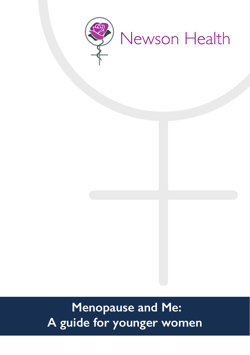

# **Menopause and Me: A guide for younger women**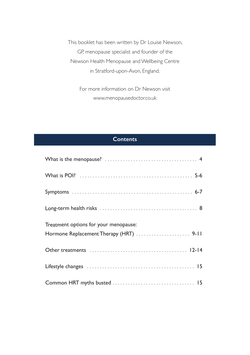This booklet has been written by Dr Louise Newson, GP, menopause specialist and founder of the Newson Health Menopause and Wellbeing Centre in Stratford-upon-Avon, England.

> For more information on Dr Newson visit www.menopausedoctor.co.uk

# **Contents**

| Treatment options for your menopause: |
|---------------------------------------|
|                                       |
|                                       |
|                                       |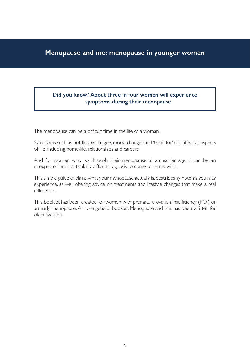# **Menopause and me: menopause in younger women**

# **Did you know? About three in four women will experience symptoms during their menopause**

The menopause can be a difficult time in the life of a woman.

Symptoms such as hot flushes, fatigue, mood changes and 'brain fog' can affect all aspects of life, including home-life, relationships and careers.

And for women who go through their menopause at an earlier age, it can be an unexpected and particularly difficult diagnosis to come to terms with.

This simple guide explains what your menopause actually is, describes symptoms you may experience, as well offering advice on treatments and lifestyle changes that make a real difference.

This booklet has been created for women with premature ovarian insufficiency (POI) or an early menopause. A more general booklet, Menopause and Me, has been written for older women.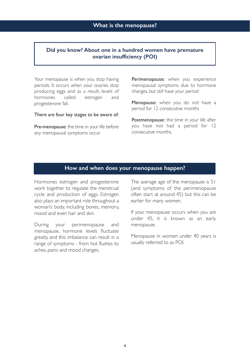## **Did you know? About one in a hundred women have premature ovarian insufficiency (POI)**

Your menopause is when you stop having periods. It occurs when your ovaries stop producing eggs and as a result, levels of hormones called estrogen and progesterone fall.

There are four key stages to be aware of:

Pre-menopause: the time in your life before any menopausal symptoms occur

Perimenopause: when you experience menopausal symptoms due to hormone changes, but still have your period

Menopause: when you do not have a period for 12 consecutive months

Postmenopause: the time in your life after you have not had a period for 12 consecutive months.

# **How and when does your menopause happen?**

Hormones estrogen and progesterone work together to regulate the menstrual cycle and production of eggs. Estrogen also plays an important role throughout a woman's body, including bones, memory, mood and even hair and skin.

During your perimenopause and menopause, hormone levels fluctuate greatly, and this imbalance can result in a range of symptoms - from hot flushes to aches, pains and mood changes.

The average age of the menopause is 51 (and symptoms of the perimenopause often start at around 45) but this can be earlier for many women.

If your menopause occurs when you are under 45, it is known as an early menopause.

Menopause in women under 40 years is usually referred to as POI.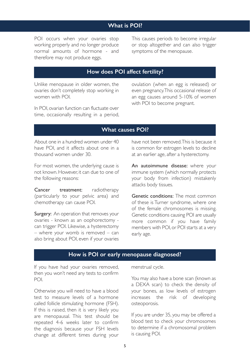# **What is POI?**

POI occurs when your ovaries stop working properly and no longer produce normal amounts of hormone - and therefore may not produce eggs.

This causes periods to become irregular or stop altogether and can also trigger symptoms of the menopause.

# **How does POI affect fertility?**

Unlike menopause in older women, the ovaries don't completely stop working in women with POI.

In POI, ovarian function can fluctuate over time, occasionally resulting in a period, ovulation (when an egg is released) or even pregnancy. This occasional release of an egg causes around 5-10% of women with POI to become pregnant.

# **What causes POI?**

About one in a hundred women under 40 have POI, and it affects about one in a thousand women under 30.

For most women, the underlying cause is not known. However, it can due to one of the following reasons:

Cancer treatment: radiotherapy (particularly to your pelvic area) and chemotherapy can cause POI.

Surgery: An operation that removes your ovaries - known as an oophorectomy can trigger POI. Likewise, a hysterectomy – where your womb is removed – can also bring about POI, even if your ovaries

have not been removed. This is because it is common for estrogen levels to decline at an earlier age, after a hysterectomy.

An autoimmune disease: where your immune system (which normally protects your body from infection) mistakenly attacks body tissues.

Genetic conditions: The most common of these is Turner syndrome, where one of the female chromosomes is missing. Genetic conditions causing POI are usually more common if you have family members with POI, or POI starts at a very early age.

## **How is POI or early menopause diagnosed?**

If you have had your ovaries removed, then you won't need any tests to confirm POI.

Otherwise you will need to have a blood test to measure levels of a hormone called follicle stimulating hormone (FSH). If this is raised, then it is very likely you are menopausal. This test should be repeated 4-6 weeks later to confirm the diagnosis because your FSH levels change at different times during your

menstrual cycle.

You may also have a bone scan (known as a DEXA scan) to check the density of your bones, as low levels of estrogen increases the risk of developing osteoporosis.

If you are under 35, you may be offered a blood test to check your chromosomes to determine if a chromosomal problem is causing POI.

5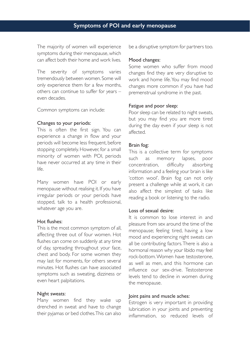The majority of women will experience symptoms during their menopause, which can affect both their home and work lives.

The severity of symptoms varies tremendously between women. Some will only experience them for a few months, others can continue to suffer for years – even decades.

Common symptoms can include:

#### Changes to your periods:

This is often the first sign. You can experience a change in flow and your periods will become less frequent, before stopping completely. However, for a small minority of women with POI, periods have never occurred at any time in their life.

Many women have POI or early menopause without realising it. If you have irregular periods or your periods have stopped, talk to a health professional, whatever age you are.

#### Hot flushes:

This is the most common symptom of all, affecting three out of four women. Hot flushes can come on suddenly at any time of day, spreading throughout your face, chest and body. For some women they may last for moments, for others several minutes. Hot flushes can have associated symptoms such as sweating, dizziness or even heart palpitations.

#### Night sweats:

Many women find they wake up drenched in sweat and have to change their pyjamas or bed clothes. This can also be a disruptive symptom for partners too.

#### Mood changes:

Some women who suffer from mood changes find they are very disruptive to work and home life. You may find mood changes more common if you have had premenstrual syndrome in the past.

#### Fatigue and poor sleep:

Poor sleep can be related to night sweats, but you may find you are more tired during the day even if your sleep is not affected.

#### Brain fog:

This is a collective term for symptoms such as memory lapses, poor concentration, difficulty absorbing information and a feeling your brain is like 'cotton wool'. Brain fog can not only present a challenge while at work, it can also affect the simplest of tasks like reading a book or listening to the radio.

#### Loss of sexual desire:

It is common to lose interest in and pleasure from sex around the time of the menopause; feeling tired, having a low mood and experiencing night sweats can all be contributing factors. There is also a hormonal reason why your libido may feel rock-bottom. Women have testosterone, as well as men, and this hormone can influence our sex-drive. Testosterone levels tend to decline in women during the menopause.

#### Joint pains and muscle aches:

Estrogen is very important in providing lubrication in your joints and preventing inflammation, so reduced levels of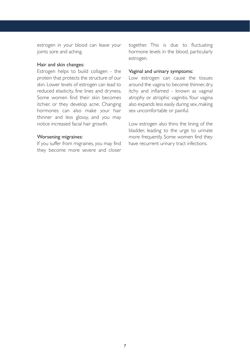estrogen in your blood can leave your joints sore and aching.

#### Hair and skin changes:

Estrogen helps to build collagen - the protein that protects the structure of our skin. Lower levels of estrogen can lead to reduced elasticity, fine lines and dryness. Some women find their skin becomes itchier, or they develop acne. Changing hormones can also make your hair thinner and less glossy, and you may notice increased facial hair growth.

#### Worsening migraines:

If you suffer from migraines, you may find they become more severe and closer together. This is due to fluctuating hormone levels in the blood, particularly estrogen.

#### Vaginal and urinary symptoms:

Low estrogen can cause the tissues around the vagina to become thinner, dry, itchy and inflamed - known as vaginal atrophy or atrophic vaginitis. Your vagina also expands less easily during sex, making sex uncomfortable or painful.

Low estrogen also thins the lining of the bladder, leading to the urge to urinate more frequently. Some women find they have recurrent urinary tract infections.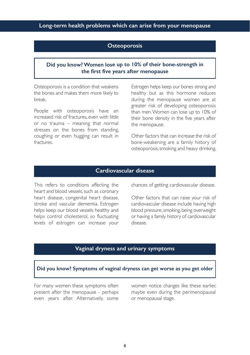# **Long-term health problems which can arise from your menopause**

# **Osteoporosis**

## **Did you know? Women lose up to 10% of their bone-strength in the first five years after menopause**

Osteoporosis is a condition that weakens the bones and makes them more likely to break.

People with osteoporosis have an increased risk of fractures, even with little or no trauma – meaning that normal stresses on the bones from standing, coughing or even hugging can result in fractures.

Estrogen helps keep our bones strong and healthy but as this hormone reduces during the menopause women are at greater risk of developing osteoporosis than men. Women can lose up to 10% of their bone density in the five years after the menopause.

Other factors that can increase the risk of bone-weakening are a family history of osteoporosis, smoking and heavy drinking.

# **Cardiovascular disease**

This refers to conditions affecting the heart and blood vessels, such as coronary heart disease, congenital heart disease, stroke and vascular dementia. Estrogen helps keep our blood vessels healthy and helps control cholesterol, so fluctuating levels of estrogen can increase your chances of getting cardiovascular disease.

Other factors that can raise your risk of cardiovascular disease include having high blood pressure, smoking, being overweight or having a family history of cardiovascular disease.

# **Vaginal dryness and urinary symptoms**

#### **Did you know? Symptoms of vaginal dryness can get worse as you get older**

For many women these symptoms often present after the menopause - perhaps even years after. Alternatively, some women notice changes like these earlier, maybe even during the perimenopausal or menopausal stage.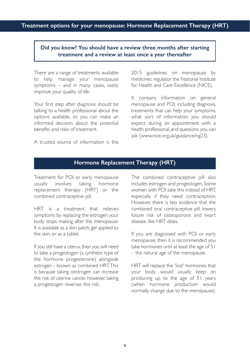# **Did you know? You should have a review three months after starting treatment and a review at least once a year thereafter**

There are a range of treatments available to help manage your menopause symptoms – and in many cases, vastly improve your quality of life.

Your first step after diagnosis should be talking to a health professional about the options available, so you can make an informed decision about the potential benefits and risks of treatment.

A trusted source of information is the

2015 guidelines on menopause by medicines regulator the National Institute for Health and Care Excellence (NICE).

It contains information on general menopause and POI, including diagnosis, treatments that can help your symptoms, what sort of information you should expect during an appointment with a health professional, and questions you can ask (www.nice.org.uk/guidance/ng23).

# **Hormone Replacement Therapy (HRT)**

Treatment for POI or early menopause usually involves taking hormone replacement therapy (HRT) or the combined contraceptive pill.

HRT is a treatment that relieves symptoms by replacing the estrogen your body stops making after the menopause. It is available as a skin patch, gel applied to the skin, or as a tablet.

If you still have a uterus, then you will need to take a progestogen (a synthetic type of the hormone progesterone) alongside estrogen - known as combined HRT. This is because taking oestrogen can increase the risk of uterine cancer, however, taking a progestogen reverses this risk.

The combined contraceptive pill also includes estrogen and progestogen. Some women with POI take this instead of HRT, especially if they need contraception. However, there is less evidence that the combined oral contraceptive pill lowers future risk of osteoporosis and heart disease, like HRT does.

If you are diagnosed with POI or early menopause, then it is recommended you take hormones until at least the age of 51 – the natural age of the menopause.

HRT will replace the 'lost' hormones that your body would usually keep on producing up to the age of 51 years (when hormone production would normally change due to the menopause).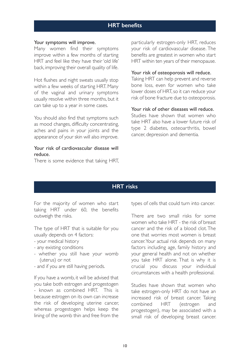# **HRT benefits**

#### Your symptoms will improve.

Many women find their symptoms improve within a few months of starting HRT and feel like they have their 'old life' back, improving their overall quality of life.

Hot flushes and night sweats usually stop within a few weeks of starting HRT. Many of the vaginal and urinary symptoms usually resolve within three months, but it can take up to a year in some cases.

You should also find that symptoms such as mood changes, difficulty concentrating, aches and pains in your joints and the appearance of your skin will also improve.

### Your risk of cardiovascular disease will reduce.

There is some evidence that taking HRT,

particularly estrogen-only HRT, reduces your risk of cardiovascular disease. The benefits are greatest in women who start HRT within ten years of their menopause.

#### Your risk of osteoporosis will reduce.

Taking HRT can help prevent and reverse bone loss, even for women who take lower doses of HRT, so it can reduce your risk of bone fracture due to osteoporosis.

#### Your risk of other diseases will reduce.

Studies have shown that women who take HRT also have a lower future risk of type 2 diabetes, osteoarthritis, bowel cancer, depression and dementia.

# **HRT risks**

For the majority of women who start taking HRT under 60, the benefits outweigh the risks.

The type of HRT that is suitable for you usually depends on 4 factors:

- your medical history
- any existing conditions
- whether you still have your womb (uterus) or not
- and if you are still having periods.

If you have a womb, it will be advised that you take both estrogen and progestogen - known as combined HRT. This is because estrogen on its own can increase the risk of developing uterine cancer, whereas progestogen helps keep the lining of the womb thin and free from the

types of cells that could turn into cancer.

There are two small risks for some women who take HRT - the risk of breast cancer and the risk of a blood clot. The one that worries most women is breast cancer. Your actual risk depends on many factors including age, family history and your general health and not on whether you take HRT alone. That is why it is crucial you discuss your individual circumstances with a health professional.

Studies have shown that women who take estrogen-only HRT do not have an increased risk of breast cancer. Taking combined HRT (estrogen and progestogen), may be associated with a small risk of developing breast cancer.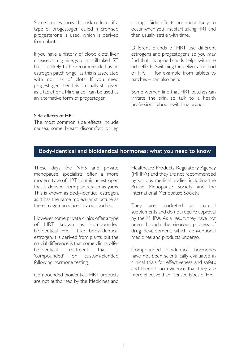Some studies show this risk reduces if a type of progestogen called micronised progesterone is used, which is derived from plants.

If you have a history of blood clots, liver disease or migraine, you can still take HRT but it is likely to be recommended as an estrogen patch or gel, as this is associated with no risk of clots. If you need progestogen then this is usually still given as a tablet or a Mirena coil can be used as an alternative form of progestogen.

cramps. Side effects are most likely to occur when you first start taking HRT and then usually settle with time.

Different brands of HRT use different estrogens and progestogens, so you may find that changing brands helps with the side effects. Switching the delivery method of HRT – for example from tablets to patches – can also help.

Some women find that HRT patches can irritate the skin, so talk to a health professional about switching brands.

#### Side effects of HRT

The most common side effects include nausea, some breast discomfort or leg

# **Body-identical and bioidentical hormones: what you need to know**

These days the NHS and private menopause specialists offer a more modern type of HRT containing estrogen that is derived from plants, such as yams. This is known as body-identical estrogen, as it has the same molecular structure as the estrogen produced by our bodies.

However, some private clinics offer a type of HRT known as 'compounded bioidentical HRT'. Like body-identical estrogen, it is derived from plants, but the crucial difference is that some clinics offer bioidentical treatment that is 'compounded' or custom-blended following hormone testing.

Compounded bioidentical HRT products are not authorised by the Medicines and Healthcare Products Regulatory Agency (MHRA) and they are not recommended by various medical bodies, including the British Menopause Society and the International Menopause Society.

They are marketed as natural supplements and do not require approval by the MHRA. As a result, they have not been through the rigorous process of drug development, which conventional medicines and products undergo.

Compounded bioidentical hormones have not been scientifically evaluated in clinical trials for effectiveness and safety, and there is no evidence that they are more effective than licensed types of HRT.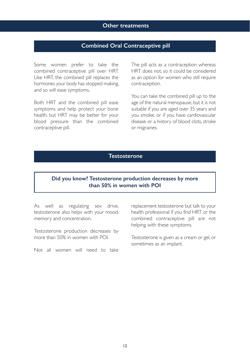## **Other treatments**

# **Combined Oral Contraceptive pill**

Some women prefer to take the combined contraceptive pill over HRT. Like HRT, the combined pill replaces the hormones your body has stopped making, and so will ease symptoms.

Both HRT and the combined pill ease symptoms and help protect your bone health, but HRT may be better for your blood pressure than the combined contraceptive pill.

The pill acts as a contraception whereas HRT does not, so it could be considered as an option for women who still require contraception.

You can take the combined pill up to the age of the natural menopause, but it is not suitable if you are aged over 35 years and you smoke, or if you have cardiovascular disease or a history of blood clots, stroke or migraines.

# **Testosterone**

# **Did you know? Testosterone production decreases by more than 50% in women with POI**

As well as regulating sex drive, testosterone also helps with your mood, memory and concentration.

Testosterone production decreases by more than 50% in women with POI.

Not all women will need to take

replacement testosterone but talk to your health professional if you find HRT or the combined contraceptive pill are not helping with these symptoms.

Testosterone is given as a cream or gel, or sometimes as an implant.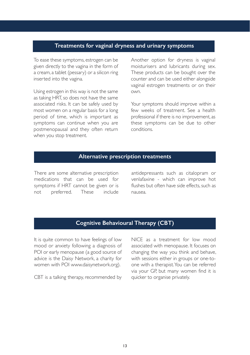# **Treatments for vaginal dryness and urinary symptoms**

To ease these symptoms, estrogen can be given directly to the vagina in the form of a cream, a tablet (pessary) or a silicon ring inserted into the vagina.

Using estrogen in this way is not the same as taking HRT, so does not have the same associated risks. It can be safely used by most women on a regular basis for a long period of time, which is important as symptoms can continue when you are postmenopausal and they often return when you stop treatment.

Another option for dryness is vaginal moisturisers and lubricants during sex. These products can be bought over the counter and can be used either alongside vaginal estrogen treatments or on their own.

Your symptoms should improve within a few weeks of treatment. See a health professional if there is no improvement, as these symptoms can be due to other conditions.

# **Alternative prescription treatments**

There are some alternative prescription medications that can be used for symptoms if HRT cannot be given or is not preferred. These include

antidepressants such as citalopram or venlafaxine - which can improve hot flushes but often have side effects, such as nausea.

# **Cognitive Behavioural Therapy (CBT)**

It is quite common to have feelings of low mood or anxiety following a diagnosis of POI or early menopause (a good source of advice is the Daisy Network, a charity for women with POI www.daisynetwork.org).

CBT is a talking therapy, recommended by

NICE as a treatment for low mood associated with menopause. It focuses on changing the way you think and behave, with sessions either in groups or one-toone with a therapist. You can be referred via your GP, but many women find it is quicker to organise privately.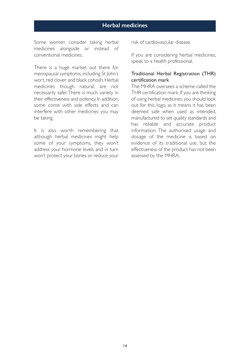# **Herbal medicines**

Some women consider taking herbal medicines alongside or instead of conventional medicines.

There is a huge market out there for menopausal symptoms, including St John's wort, red clover and black cohosh. Herbal medicines though natural, are not necessarily safer. There is much variety in their effectiveness and potency. In addition, some come with side effects and can interfere with other medicines you may be taking.

It is also worth remembering that although herbal medicines might help some of your symptoms, they won't address your hormone levels and in turn won't protect your bones or reduce your risk of cardiovascular disease.

If you are considering herbal medicines, speak to a health professional.

## Traditional Herbal Registration (THR) certification mark

The MHRA oversees a scheme called the THR certification mark. If you are thinking of using herbal medicines, you should look out for this logo, as it means it has been deemed safe when used as intended, manufactured to set quality standards and has reliable and accurate product information. The authorised usage and dosage of the medicine is based on evidence of its traditional use, but the effectiveness of the product has not been assessed by the MHRA.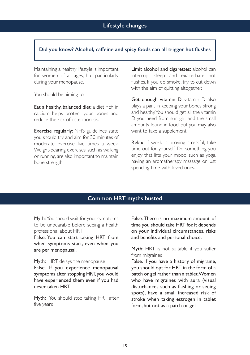## **Did you know? Alcohol, caffeine and spicy foods can all trigger hot flushes**

Maintaining a healthy lifestyle is important for women of all ages, but particularly during your menopause.

You should be aiming to:

Eat a healthy, balanced diet: a diet rich in calcium helps protect your bones and reduce the risk of osteoporosis.

Exercise regularly: NHS guidelines state you should try and aim for 30 minutes of moderate exercise five times a week. Weight-bearing exercises, such as walking or running, are also important to maintain bone strength.

Limit alcohol and cigarettes: alcohol can interrupt sleep and exacerbate hot flushes. If you do smoke, try to cut down with the aim of quitting altogether.

Get enough vitamin D: vitamin D also plays a part in keeping your bones strong and healthy. You should get all the vitamin D you need from sunlight and the small amounts found in food, but you may also want to take a supplement.

Relax: If work is proving stressful, take time out for yourself. Do something you enjoy that lifts your mood, such as yoga, having an aromatherapy massage or just spending time with loved ones.

# **Common HRT myths busted**

Myth: You should wait for your symptoms to be unbearable before seeing a health professional about HRT

False. You can start taking HRT from when symptoms start, even when you are perimenopausal.

Myth: HRT delays the menopause

False. If you experience menopausal symptoms after stopping HRT, you would have experienced them even if you had never taken HRT.

Myth: You should stop taking HRT after five years

False. There is no maximum amount of time you should take HRT for. It depends on your individual circumstances, risks and benefits and personal choice.

## Myth: HRT is not suitable if you suffer from migraines

False. If you have a history of migraine, you should opt for HRT in the form of a patch or gel rather than a tablet. Women who have migraines with aura (visual disturbances such as flashing or seeing spots), have a small increased risk of stroke when taking estrogen in tablet form, but not as a patch or gel.